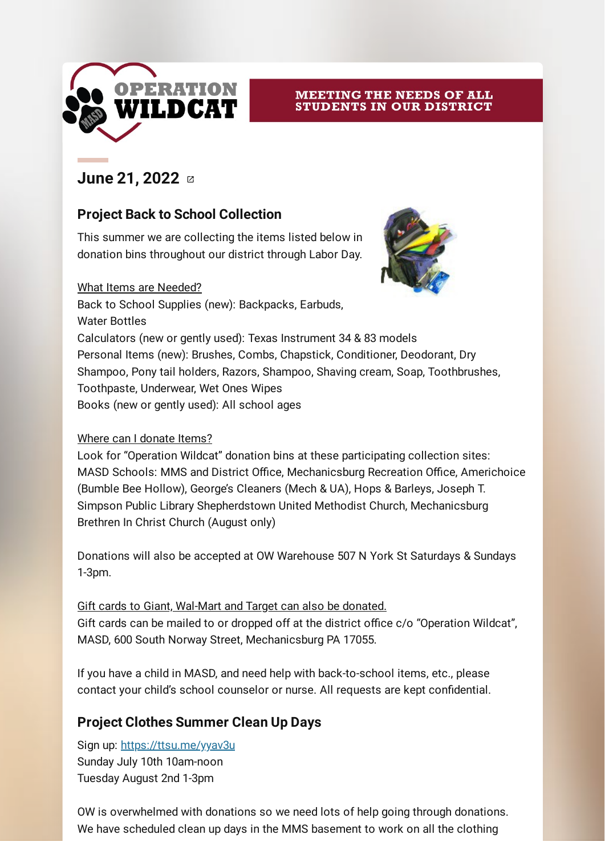

#### MEETING THE NEEDS OF ALL **STUDENTS IN OUR DISTRICT**

## **June 21, [2022](https://s.smore.com/e/f247v/JI0BfA)**  $\alpha$

#### **Project Back to School Collection**

This summer we are collecting the items listed below in donation bins throughout our district through Labor Day.

#### What Items are Needed?



Back to School Supplies (new): Backpacks, Earbuds, Water Bottles Calculators (new or gently used): Texas Instrument 34 & 83 models Personal Items (new): Brushes, Combs, Chapstick, Conditioner, Deodorant, Dry Shampoo, Pony tail holders, Razors, Shampoo, Shaving cream, Soap, Toothbrushes, Toothpaste, Underwear, Wet Ones Wipes Books (new or gently used): All school ages

#### Where can I donate Items?

Look for "Operation Wildcat" donation bins at these participating collection sites: MASD Schools: MMS and District Office, Mechanicsburg Recreation Office, Americhoice (Bumble Bee Hollow), George's Cleaners (Mech & UA), Hops & Barleys, Joseph T. Simpson Public Library Shepherdstown United Methodist Church, Mechanicsburg Brethren In Christ Church (August only)

Donations will also be accepted at OW Warehouse 507 N York St Saturdays & Sundays 1-3pm.

Gift cards to Giant, Wal-Mart and Target can also be donated. Gift cards can be mailed to or dropped off at the district office c/o "Operation Wildcat", MASD, 600 South Norway Street, Mechanicsburg PA 17055.

If you have a child in MASD, and need help with back-to-school items, etc., please contact your child's school counselor or nurse. All requests are kept confidential.

#### **Project Clothes Summer Clean Up Days**

Sign up: [https://ttsu.me/yyav3u](https://s.smore.com/e/f247v/fhwIgH) Sunday July 10th 10am-noon Tuesday August 2nd 1-3pm

OW is overwhelmed with donations so we need lots of help going through donations. We have scheduled clean up days in the MMS basement to work on all the clothing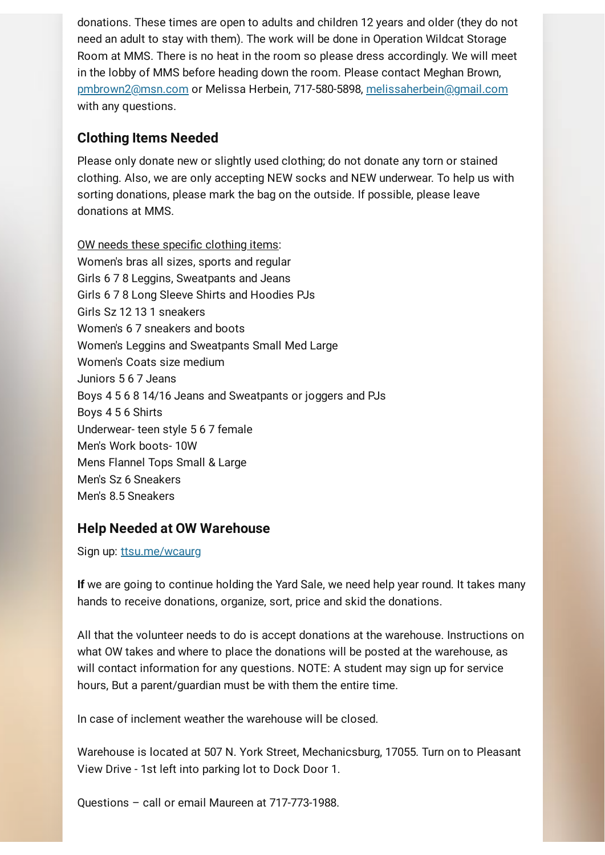donations. These times are open to adults and children 12 years and older (they do not need an adult to stay with them). The work will be done in Operation Wildcat Storage Room at MMS. There is no heat in the room so please dress accordingly. We will meet in the lobby of MMS before heading down the room. Please contact Meghan Brown, [pmbrown2@msn.com](https://s.smore.com/e/f247v/mN2qYE) or Melissa Herbein, 717-580-5898, [melissaherbein@gmail.com](https://s.smore.com/e/f247v/isTfSb) with any questions.

#### **Clothing Items Needed**

Please only donate new or slightly used clothing; do not donate any torn or stained clothing. Also, we are only accepting NEW socks and NEW underwear. To help us with sorting donations, please mark the bag on the outside. If possible, please leave donations at MMS.

OW needs these specific clothing items: Women's bras all sizes, sports and regular Girls 6 7 8 Leggins, Sweatpants and Jeans Girls 6 7 8 Long Sleeve Shirts and Hoodies PJs Girls Sz 12 13 1 sneakers Women's 6 7 sneakers and boots Women's Leggins and Sweatpants Small Med Large Women's Coats size medium Juniors 5 6 7 Jeans Boys 4 5 6 8 14/16 Jeans and Sweatpants or joggers and PJs Boys 4 5 6 Shirts Underwear- teen style 5 6 7 female Men's Work boots- 10W Mens Flannel Tops Small & Large Men's Sz 6 Sneakers Men's 8.5 Sneakers

#### **Help Needed at OW Warehouse**

Sign up: [ttsu.me/wcaurg](https://s.smore.com/e/f247v/vzmMmp)

**If** we are going to continue holding the Yard Sale, we need help year round. It takes many hands to receive donations, organize, sort, price and skid the donations.

All that the volunteer needs to do is accept donations at the warehouse. Instructions on what OW takes and where to place the donations will be posted at the warehouse, as will contact information for any questions. NOTE: A student may sign up for service hours, But a parent/guardian must be with them the entire time.

In case of inclement weather the warehouse will be closed.

Warehouse is located at 507 N. York Street, Mechanicsburg, 17055. Turn on to Pleasant View Drive - 1st left into parking lot to Dock Door 1.

Questions – call or email Maureen at 717-773-1988.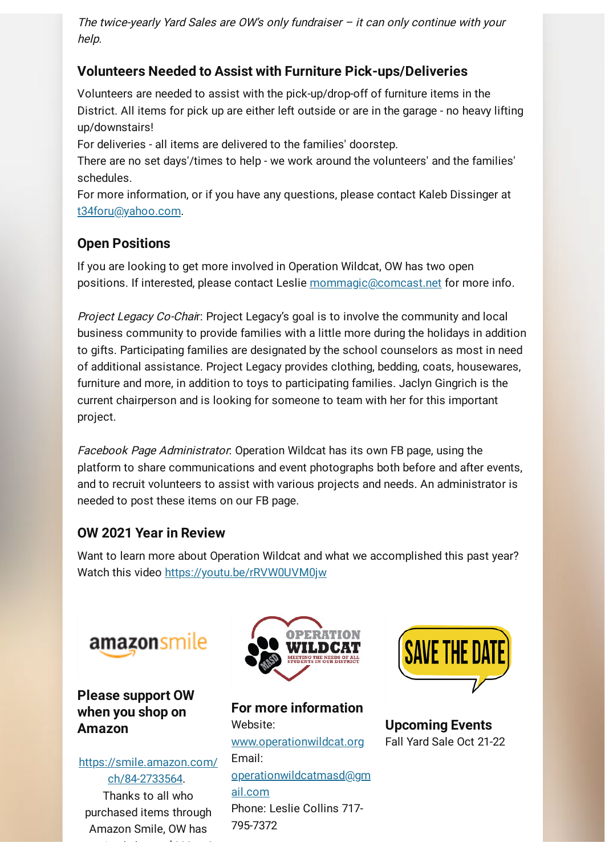The twice-yearly Yard Sales are OW's only fundraiser  $-$  it can only continue with your help.

### **Volunteers Needed to Assist with Furniture Pick-ups/Deliveries**

Volunteers are needed to assist with the pick-up/drop-off of furniture items in the District. All items for pick up are either left outside or are in the garage - no heavy lifting up/downstairs!

For deliveries - all items are delivered to the families' doorstep.

There are no set days'/times to help - we work around the volunteers' and the families' schedules.

For more information, or if you have any questions, please contact Kaleb Dissinger at [t34foru@yahoo.com.](https://s.smore.com/e/f247v/YlbeE-)

#### **Open Positions**

If you are looking to get more involved in Operation Wildcat, OW has two open positions. If interested, please contact Leslie [mommagic@comcast.net](https://s.smore.com/e/f247v/-tF_0Z) for more info.

Project Legacy Co-Chair: Project Legacy's goal is to involve the community and local business community to provide families with a little more during the holidays in addition to gifts. Participating families are designated by the school counselors as most in need of additional assistance. Project Legacy provides clothing, bedding, coats, housewares, furniture and more, in addition to toys to participating families. Jaclyn Gingrich is the current chairperson and is looking for someone to team with her for this important project.

Facebook Page Administrator: Operation Wildcat has its own FB page, using the platform to share communications and event photographs both before and after events, and to recruit volunteers to assist with various projects and needs. An administrator is needed to post these items on our FB page.

#### **OW 2021 Year in Review**

Want to learn more about Operation Wildcat and what we accomplished this past year? Watch this video [https://youtu.be/rRVW0UVM0jw](https://s.smore.com/e/f247v/y-yN98)

# amazonsmile

**Please support OW when you shop on Amazon**

[https://smile.amazon.com/](https://s.smore.com/e/f247v/YLuvLC) ch/84-2733564. Thanks to all who purchased items through Amazon Smile, OW has

i da la 1990 de la 1990 de la 1990 de la 1990 de la 1990 de la 1990 de la 1990 de la 1990 de la 1990 de la 19<br>De la 1990 de la 1990 de la 1990 de la 1990 de la 1990 de la 1990 de la 1990 de la 1990 de la 1990 de la 1990



**For more information** Website: [www.operationwildcat.org](https://s.smore.com/e/f247v/xexFxa) Email: [operationwildcatmasd@gm](https://s.smore.com/e/f247v/FI_ErZ) ail.com Phone: Leslie Collins 717- 795-7372



**Upcoming Events** Fall Yard Sale Oct 21-22